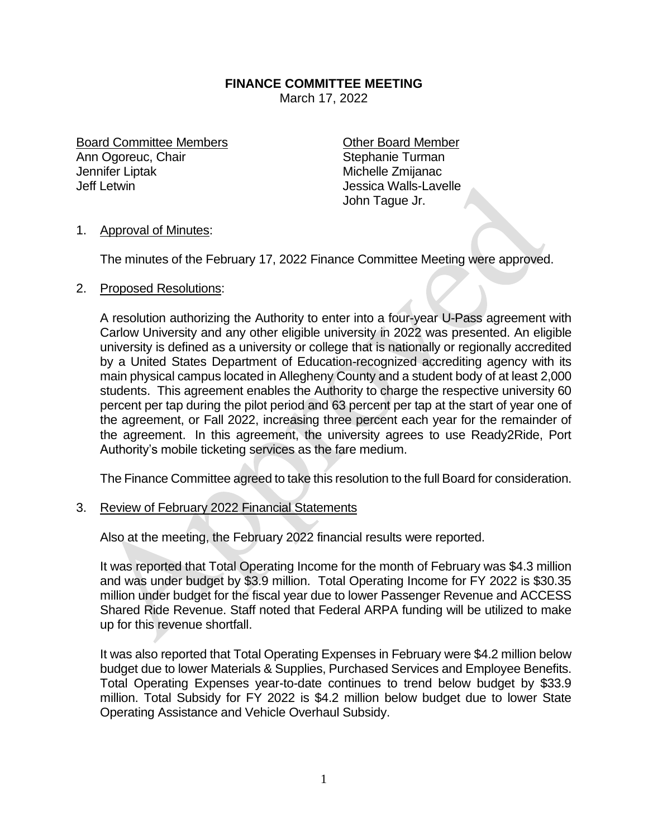## **FINANCE COMMITTEE MEETING**

March 17, 2022

Board Committee Members **Committee Member** Ann Ogoreuc, Chair Stephanie Turman Jennifer Liptak Michelle Zmijanac<br>Jeff Letwin Michelle Zmijanac<br>Jessica Walls-Lave

**Jessica Walls-Lavelle** John Tague Jr.

## 1. Approval of Minutes:

The minutes of the February 17, 2022 Finance Committee Meeting were approved.

## 2. Proposed Resolutions:

A resolution authorizing the Authority to enter into a four-year U-Pass agreement with Carlow University and any other eligible university in 2022 was presented. An eligible university is defined as a university or college that is nationally or regionally accredited by a United States Department of Education-recognized accrediting agency with its main physical campus located in Allegheny County and a student body of at least 2,000 students. This agreement enables the Authority to charge the respective university 60 percent per tap during the pilot period and 63 percent per tap at the start of year one of the agreement, or Fall 2022, increasing three percent each year for the remainder of the agreement. In this agreement, the university agrees to use Ready2Ride, Port Authority's mobile ticketing services as the fare medium.

The Finance Committee agreed to take this resolution to the full Board for consideration.

3. Review of February 2022 Financial Statements

Also at the meeting, the February 2022 financial results were reported.

It was reported that Total Operating Income for the month of February was \$4.3 million and was under budget by \$3.9 million. Total Operating Income for FY 2022 is \$30.35 million under budget for the fiscal year due to lower Passenger Revenue and ACCESS Shared Ride Revenue. Staff noted that Federal ARPA funding will be utilized to make up for this revenue shortfall.

It was also reported that Total Operating Expenses in February were \$4.2 million below budget due to lower Materials & Supplies, Purchased Services and Employee Benefits. Total Operating Expenses year-to-date continues to trend below budget by \$33.9 million. Total Subsidy for FY 2022 is \$4.2 million below budget due to lower State Operating Assistance and Vehicle Overhaul Subsidy.